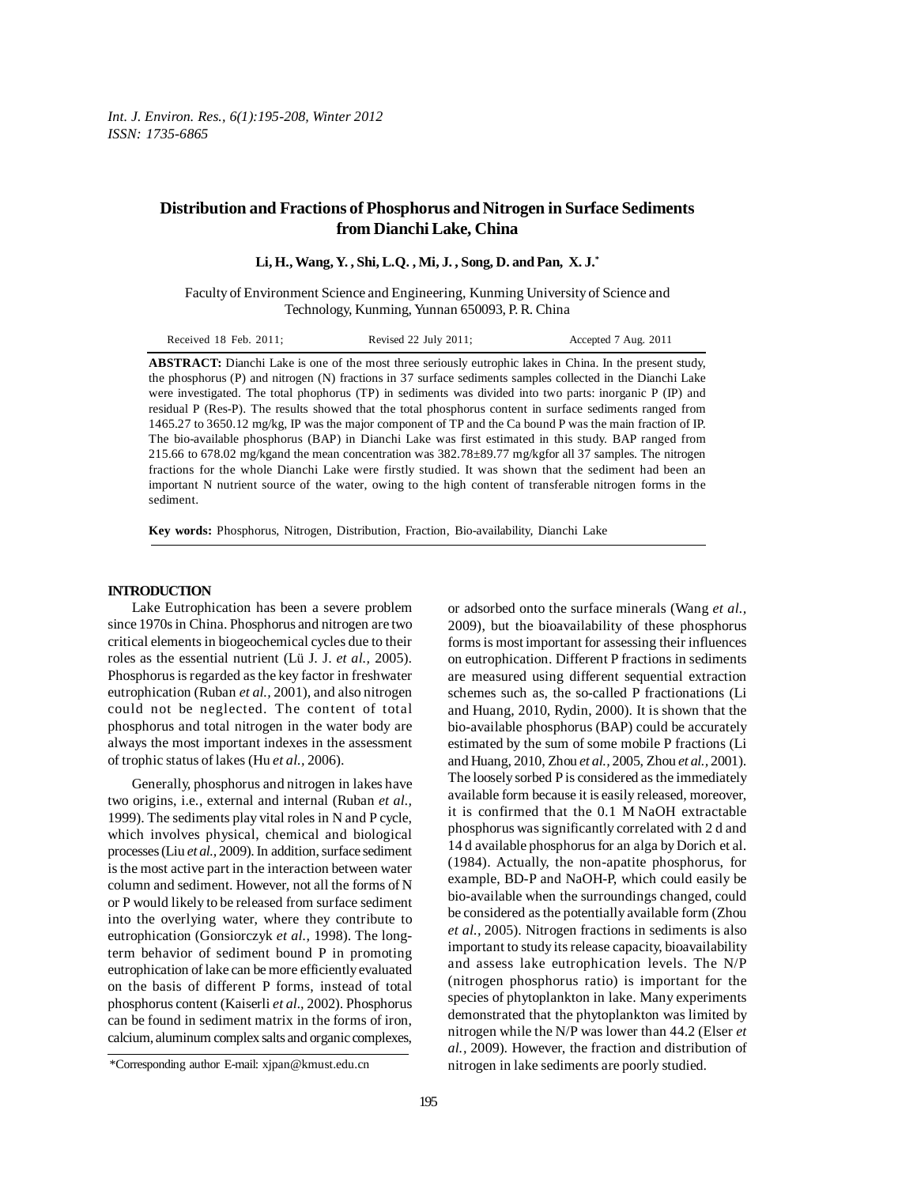# **Distribution and Fractions of Phosphorus and Nitrogen in Surface Sediments from Dianchi Lake, China**

**Li, H., Wang, Y. , Shi, L.Q. , Mi, J. , Song, D. and Pan, X. J.\***

Faculty of Environment Science and Engineering, Kunming University of Science and Technology, Kunming, Yunnan 650093, P. R. China

| Received 18 Feb. 2011; | Revised 22 July 2011; | Accepted 7 Aug. 2011 |
|------------------------|-----------------------|----------------------|
|------------------------|-----------------------|----------------------|

**ABSTRACT:** Dianchi Lake is one of the most three seriously eutrophic lakes in China. In the present study, the phosphorus (P) and nitrogen (N) fractions in 37 surface sediments samples collected in the Dianchi Lake were investigated. The total phophorus (TP) in sediments was divided into two parts: inorganic P (IP) and residual P (Res-P). The results showed that the total phosphorus content in surface sediments ranged from 1465.27 to 3650.12 mg/kg, IP was the major component of TP and the Ca bound P was the main fraction of IP. The bio-available phosphorus (BAP) in Dianchi Lake was first estimated in this study. BAP ranged from 215.66 to 678.02 mg/kgand the mean concentration was 382.78±89.77 mg/kgfor all 37 samples. The nitrogen fractions for the whole Dianchi Lake were firstly studied. It was shown that the sediment had been an important N nutrient source of the water, owing to the high content of transferable nitrogen forms in the sediment.

**Key words:** Phosphorus, Nitrogen, Distribution, Fraction, Bio-availability, Dianchi Lake

## **INTRODUCTION**

Lake Eutrophication has been a severe problem since 1970s in China. Phosphorus and nitrogen are two critical elements in biogeochemical cycles due to their roles as the essential nutrient (Lü J. J. *et al.,* 2005). Phosphorus is regarded as the key factor in freshwater eutrophication (Ruban *et al.,* 2001), and also nitrogen could not be neglected. The content of total phosphorus and total nitrogen in the water body are always the most important indexes in the assessment of trophic status of lakes (Hu *et al.,* 2006).

Generally, phosphorus and nitrogen in lakes have two origins, i.e., external and internal (Ruban *et al.,* 1999). The sediments play vital roles in N and P cycle, which involves physical, chemical and biological processes (Liu *et al.,* 2009). In addition, surface sediment is the most active part in the interaction between water column and sediment. However, not all the forms of N or P would likely to be released from surface sediment into the overlying water, where they contribute to eutrophication (Gonsiorczyk *et al.,* 1998). The longterm behavior of sediment bound P in promoting eutrophication of lake can be more efficiently evaluated on the basis of different P forms, instead of total phosphorus content (Kaiserli *et al.,* 2002). Phosphorus can be found in sediment matrix in the forms of iron, calcium, aluminum complex salts and organic complexes,

or adsorbed onto the surface minerals (Wang *et al.,* 2009), but the bioavailability of these phosphorus forms is most important for assessing their influences on eutrophication. Different P fractions in sediments are measured using different sequential extraction schemes such as, the so-called P fractionations (Li and Huang, 2010, Rydin, 2000). It is shown that the bio-available phosphorus (BAP) could be accurately estimated by the sum of some mobile P fractions (Li and Huang, 2010, Zhou *et al.,* 2005, Zhou *et al.,* 2001). The loosely sorbed P is considered as the immediately available form because it is easily released, moreover, it is confirmed that the 0.1 M NaOH extractable phosphorus was significantly correlated with 2 d and 14 d available phosphorus for an alga by Dorich et al. (1984). Actually, the non-apatite phosphorus, for example, BD-P and NaOH-P, which could easily be bio-available when the surroundings changed, could be considered as the potentially available form (Zhou *et al.,* 2005). Nitrogen fractions in sediments is also important to study its release capacity, bioavailability and assess lake eutrophication levels. The N/P (nitrogen phosphorus ratio) is important for the species of phytoplankton in lake. Many experiments demonstrated that the phytoplankton was limited by nitrogen while the N/P was lower than 44.2 (Elser *et al.,* 2009). However, the fraction and distribution of nitrogen in lake sediments are poorly studied.

<sup>\*</sup>Corresponding author E-mail: xjpan@kmust.edu.cn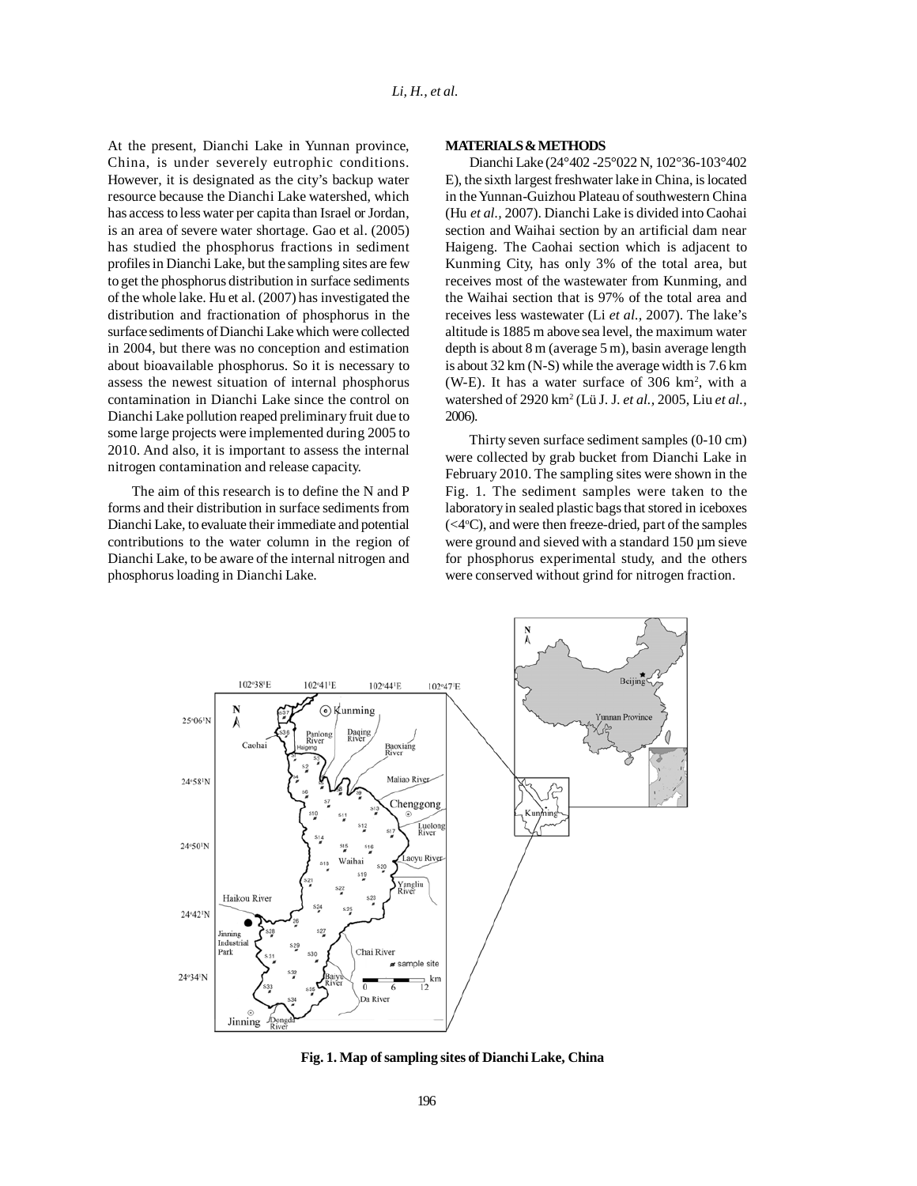At the present, Dianchi Lake in Yunnan province, China, is under severely eutrophic conditions. However, it is designated as the city's backup water resource because the Dianchi Lake watershed, which has access to less water per capita than Israel or Jordan, is an area of severe water shortage. Gao et al. (2005) has studied the phosphorus fractions in sediment profiles in Dianchi Lake, but the sampling sites are few to get the phosphorus distribution in surface sediments of the whole lake. Hu et al. (2007) has investigated the distribution and fractionation of phosphorus in the surface sediments of Dianchi Lake which were collected in 2004, but there was no conception and estimation about bioavailable phosphorus. So it is necessary to assess the newest situation of internal phosphorus contamination in Dianchi Lake since the control on Dianchi Lake pollution reaped preliminary fruit due to some large projects were implemented during 2005 to 2010. And also, it is important to assess the internal nitrogen contamination and release capacity.

The aim of this research is to define the N and P forms and their distribution in surface sediments from Dianchi Lake, to evaluate their immediate and potential contributions to the water column in the region of Dianchi Lake, to be aware of the internal nitrogen and phosphorus loading in Dianchi Lake.

#### **MATERIALS & METHODS**

Dianchi Lake (24°402 -25°022 N, 102°36-103°402 E), the sixth largest freshwater lake in China, is located in the Yunnan-Guizhou Plateau of southwestern China (Hu *et al.,* 2007). Dianchi Lake is divided into Caohai section and Waihai section by an artificial dam near Haigeng. The Caohai section which is adjacent to Kunming City, has only 3% of the total area, but receives most of the wastewater from Kunming, and the Waihai section that is 97% of the total area and receives less wastewater (Li *et al.,* 2007). The lake's altitude is 1885 m above sea level, the maximum water depth is about 8 m (average 5 m), basin average length is about 32 km (N-S) while the average width is 7.6 km (W-E). It has a water surface of 306 km2 , with a watershed of 2920 km2 (Lü J. J. *et al.,* 2005, Liu *et al.,* 2006).

Thirty seven surface sediment samples (0-10 cm) were collected by grab bucket from Dianchi Lake in February 2010. The sampling sites were shown in the Fig. 1. The sediment samples were taken to the laboratory in sealed plastic bags that stored in iceboxes (<4°C), and were then freeze-dried, part of the samples were ground and sieved with a standard 150  $\mu$ m sieve for phosphorus experimental study, and the others were conserved without grind for nitrogen fraction.



**Fig. 1. Map of sampling sites of Dianchi Lake, China**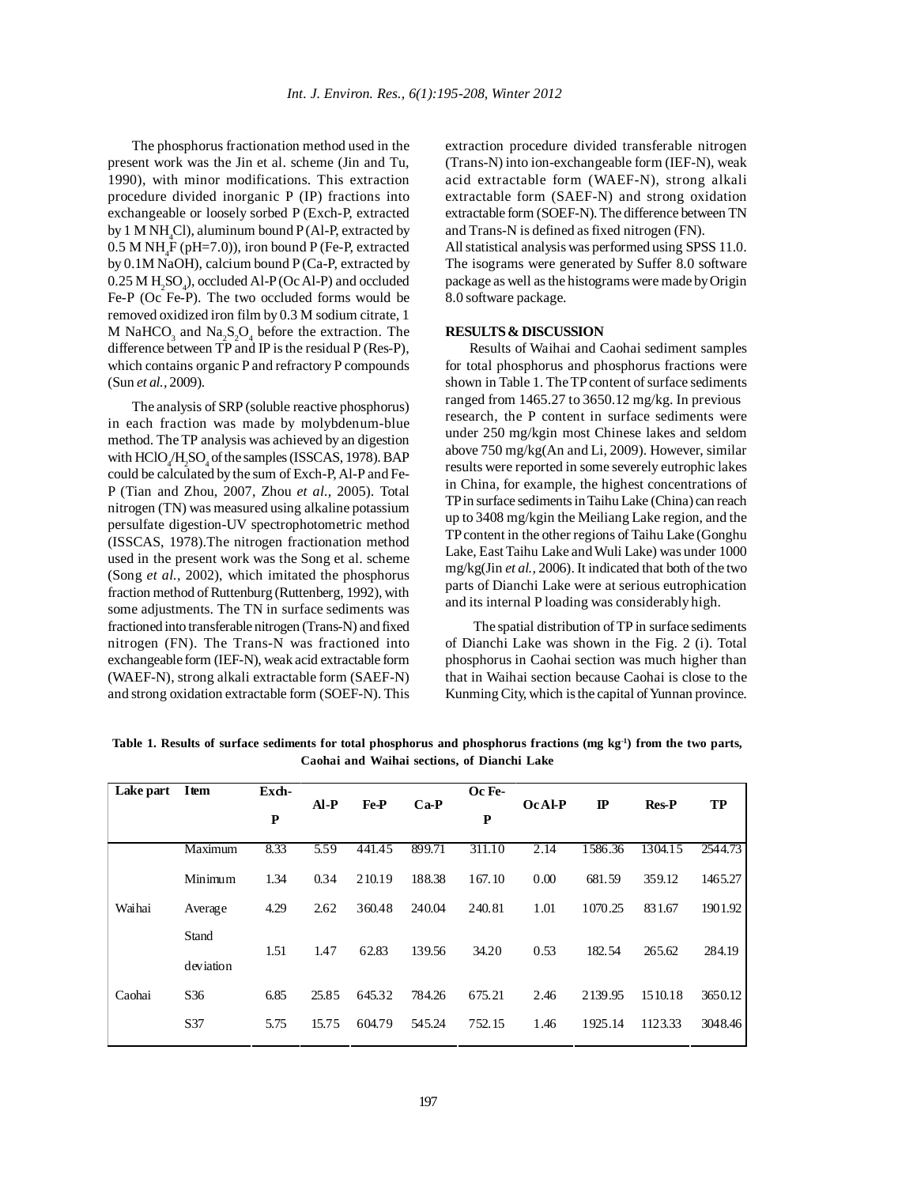The phosphorus fractionation method used in the present work was the Jin et al. scheme (Jin and Tu, 1990), with minor modifications. This extraction procedure divided inorganic P (IP) fractions into exchangeable or loosely sorbed P (Exch-P, extracted by 1 M NH<sub>4</sub>Cl), aluminum bound P (Al-P, extracted by  $0.5$  M NH<sub>4</sub>F (pH=7.0)), iron bound P (Fe-P, extracted by 0.1M NaOH), calcium bound P (Ca-P, extracted by  $0.25$  M  $H_2SO_4$ ), occluded Al-P (Oc Al-P) and occluded Fe-P (Oc Fe-P). The two occluded forms would be removed oxidized iron film by 0.3 M sodium citrate, 1 M NaHCO<sub>3</sub> and Na<sub>2</sub>S<sub>2</sub>O<sub>4</sub> before the extraction. The difference between TP and IP is the residual P (Res-P), which contains organic P and refractory P compounds (Sun *et al.,* 2009).

The analysis of SRP (soluble reactive phosphorus) in each fraction was made by molybdenum-blue method. The TP analysis was achieved by an digestion with  $HClO_4/H_2SO_4$  of the samples (ISSCAS, 1978). BAP could be calculated by the sum of Exch-P, Al-P and Fe-P (Tian and Zhou, 2007, Zhou *et al.,* 2005). Total nitrogen (TN) was measured using alkaline potassium persulfate digestion-UV spectrophotometric method (ISSCAS, 1978).The nitrogen fractionation method used in the present work was the Song et al. scheme (Song *et al.,* 2002), which imitated the phosphorus fraction method of Ruttenburg (Ruttenberg, 1992), with some adjustments. The TN in surface sediments was fractioned into transferable nitrogen (Trans-N) and fixed nitrogen (FN). The Trans-N was fractioned into exchangeable form (IEF-N), weak acid extractable form (WAEF-N), strong alkali extractable form (SAEF-N) and strong oxidation extractable form (SOEF-N). This

extraction procedure divided transferable nitrogen (Trans-N) into ion-exchangeable form (IEF-N), weak acid extractable form (WAEF-N), strong alkali extractable form (SAEF-N) and strong oxidation extractable form (SOEF-N). The difference between TN and Trans-N is defined as fixed nitrogen (FN).

All statistical analysis was performed using SPSS 11.0. The isograms were generated by Suffer 8.0 software package as well as the histograms were made by Origin 8.0 software package.

## **RESULTS & DISCUSSION**

Results of Waihai and Caohai sediment samples for total phosphorus and phosphorus fractions were shown in Table 1. The TP content of surface sediments ranged from 1465.27 to 3650.12 mg/kg. In previous research, the P content in surface sediments were under 250 mg/kgin most Chinese lakes and seldom above 750 mg/kg(An and Li, 2009). However, similar results were reported in some severely eutrophic lakes in China, for example, the highest concentrations of TP in surface sediments in Taihu Lake (China) can reach up to 3408 mg/kgin the Meiliang Lake region, and the TP content in the other regions of Taihu Lake (Gonghu Lake, East Taihu Lake and Wuli Lake) was under 1000 mg/kg(Jin *et al.,* 2006). It indicated that both of the two parts of Dianchi Lake were at serious eutrophication and its internal P loading was considerably high.

The spatial distribution of TP in surface sediments of Dianchi Lake was shown in the Fig. 2 (i). Total phosphorus in Caohai section was much higher than that in Waihai section because Caohai is close to the Kunming City, which is the capital of Yunnan province.

**Table 1. Results of surface sediments for total phosphorus and phosphorus fractions (mg kg-1) from the two parts, Caohai and Waihai sections, of Dianchi Lake**

| Lake part | Item      | Exch- |        |        |        | Oc Fe- |               |              |              |         |
|-----------|-----------|-------|--------|--------|--------|--------|---------------|--------------|--------------|---------|
|           |           | P     | $AI-P$ | Fe-P   | $Ca-P$ | P      | <b>OcAl-P</b> | $\mathbf{I}$ | <b>Res-P</b> | TP      |
|           | Maximum   | 8.33  | 5.59   | 441.45 | 899.71 | 311.10 | 2.14          | 1586.36      | 1304.15      | 2544.73 |
|           | Minimum   | 1.34  | 0.34   | 210.19 | 188.38 | 167.10 | 0.00          | 681.59       | 359.12       | 1465.27 |
| Waihai    | Average   | 4.29  | 2.62   | 360.48 | 240.04 | 240.81 | 1.01          | 1070.25      | 831.67       | 1901.92 |
|           | Stand     | 1.51  | 1.47   | 62.83  | 139.56 | 34.20  | 0.53          | 182.54       | 265.62       | 284.19  |
|           | deviation |       |        |        |        |        |               |              |              |         |
| Caohai    | S36       | 6.85  | 25.85  | 645.32 | 784.26 | 675.21 | 2.46          | 2139.95      | 1510.18      | 3650.12 |
|           | S37       | 5.75  | 15.75  | 604.79 | 545.24 | 752.15 | 1.46          | 1925.14      | 1123.33      | 3048.46 |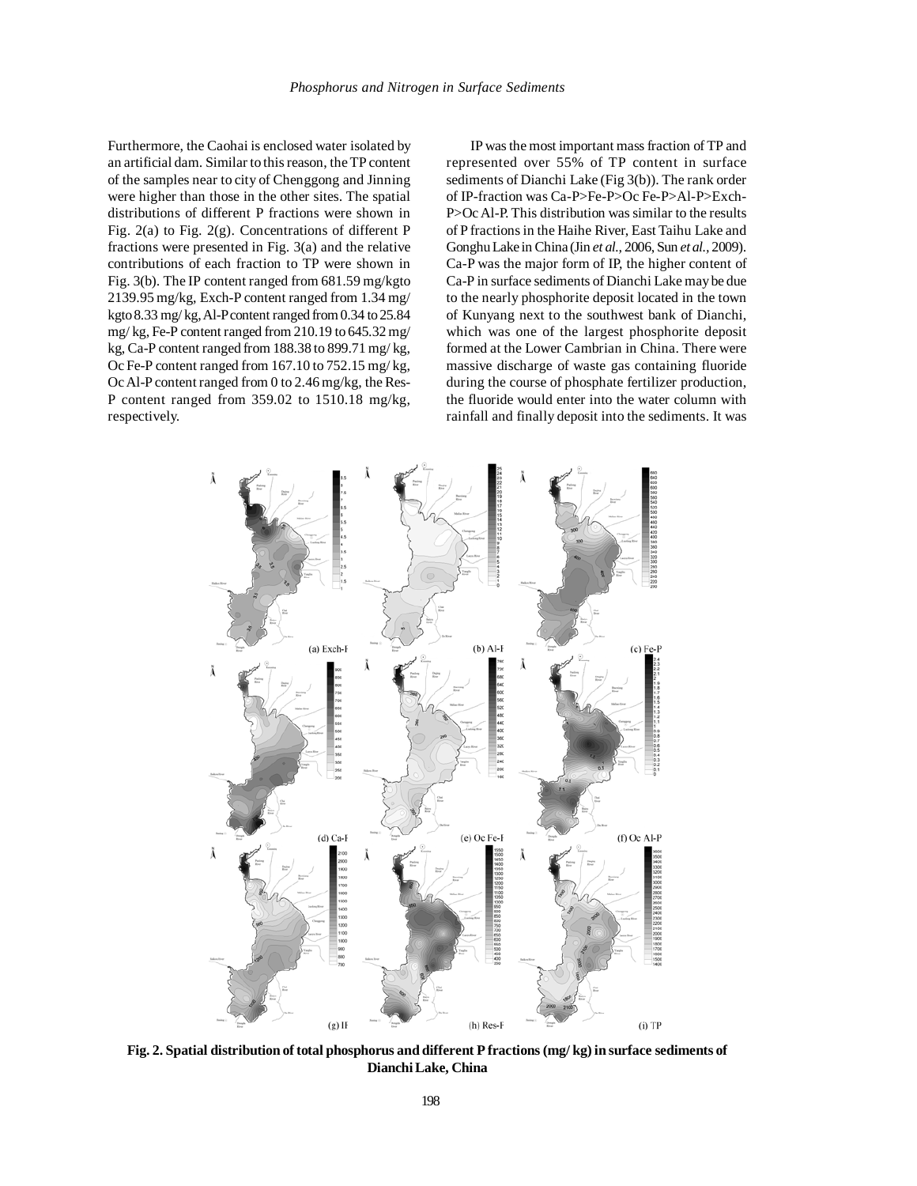Furthermore, the Caohai is enclosed water isolated by an artificial dam. Similar to this reason, the TP content of the samples near to city of Chenggong and Jinning were higher than those in the other sites. The spatial distributions of different P fractions were shown in Fig. 2(a) to Fig. 2(g). Concentrations of different P fractions were presented in Fig. 3(a) and the relative contributions of each fraction to TP were shown in Fig. 3(b). The IP content ranged from 681.59 mg/kgto 2139.95 mg/kg, Exch-P content ranged from 1.34 mg/ kgto 8.33 mg/ kg, Al-P content ranged from 0.34 to 25.84 mg/ kg, Fe-P content ranged from 210.19 to 645.32 mg/ kg, Ca-P content ranged from 188.38 to 899.71 mg/ kg, Oc Fe-P content ranged from 167.10 to 752.15 mg/ kg, Oc Al-P content ranged from 0 to 2.46 mg/kg, the Res-P content ranged from 359.02 to 1510.18 mg/kg, respectively.

IP was the most important mass fraction of TP and represented over 55% of TP content in surface sediments of Dianchi Lake (Fig 3(b)). The rank order of IP-fraction was Ca-P>Fe-P>Oc Fe-P>Al-P>Exch-P>Oc Al-P. This distribution was similar to the results of P fractions in the Haihe River, East Taihu Lake and Gonghu Lake in China (Jin *et al.,* 2006, Sun *et al.,* 2009). Ca-P was the major form of IP, the higher content of Ca-P in surface sediments of Dianchi Lake may be due to the nearly phosphorite deposit located in the town of Kunyang next to the southwest bank of Dianchi, which was one of the largest phosphorite deposit formed at the Lower Cambrian in China. There were massive discharge of waste gas containing fluoride during the course of phosphate fertilizer production, the fluoride would enter into the water column with rainfall and finally deposit into the sediments. It was



**Fig. 2. Spatial distribution of total phosphorus and different P fractions (mg/ kg) in surface sediments of Dianchi Lake, China**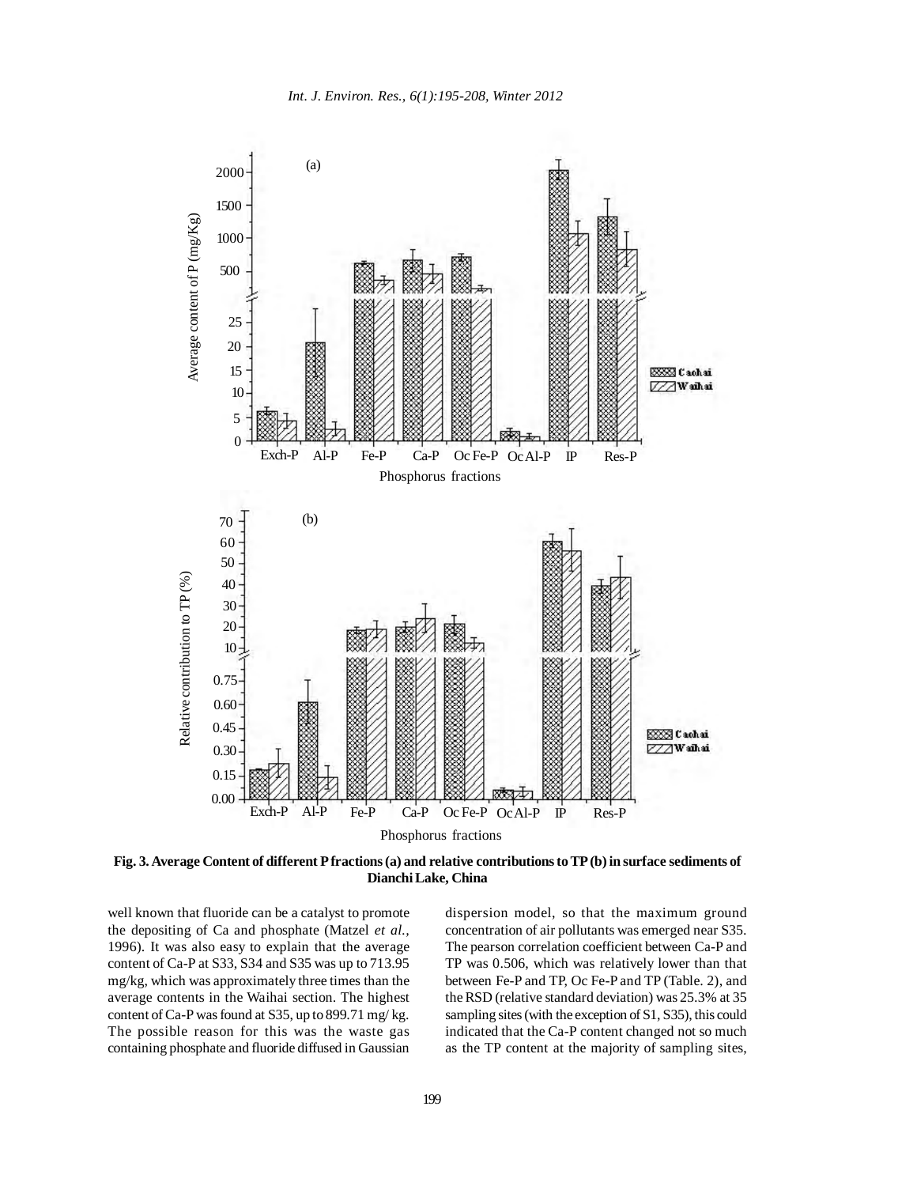

**Fig. 3. Average Content of different P fractions (a) and relative contributions to TP (b) in surface sediments of Dianchi Lake, China**

well known that fluoride can be a catalyst to promote the depositing of Ca and phosphate (Matzel *et al.,* 1996). It was also easy to explain that the average content of Ca-P at S33, S34 and S35 was up to 713.95 mg/kg, which was approximately three times than the average contents in the Waihai section. The highest content of Ca-P was found at S35, up to 899.71 mg/ kg. The possible reason for this was the waste gas containing phosphate and fluoride diffused in Gaussian

dispersion model, so that the maximum ground concentration of air pollutants was emerged near S35. The pearson correlation coefficient between Ca-P and TP was 0.506, which was relatively lower than that between Fe-P and TP, Oc Fe-P and TP (Table. 2), and the RSD (relative standard deviation) was 25.3% at 35 sampling sites (with the exception of S1, S35), this could indicated that the Ca-P content changed not so much as the TP content at the majority of sampling sites,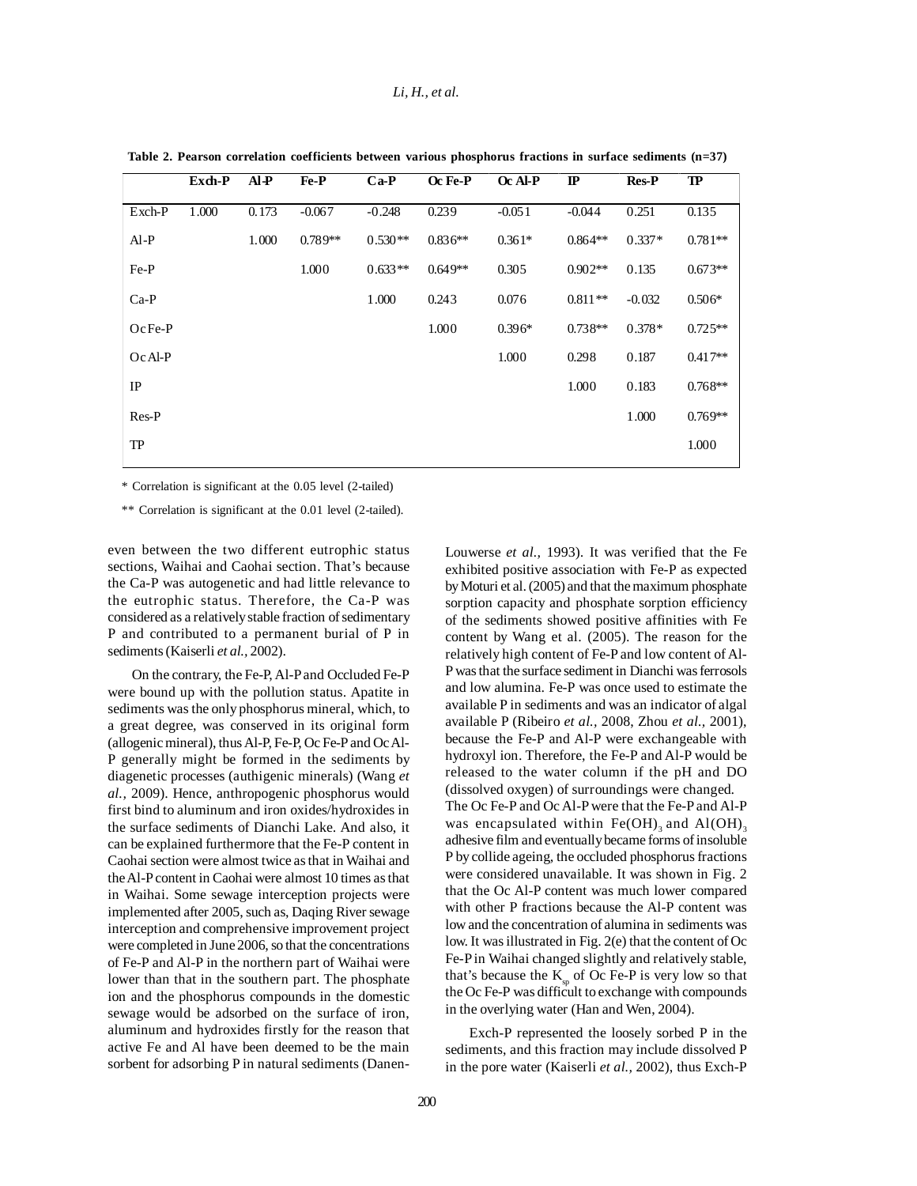## *Li, H., et al.*

|           | Exch-P | $AI-P$ | Fe-P      | $Ca-P$    | Oc Fe-P   | Oc Al-P  | $\mathbf{I}$ | <b>Res-P</b> | TP        |
|-----------|--------|--------|-----------|-----------|-----------|----------|--------------|--------------|-----------|
| Exch-P    | 1.000  | 0.173  | $-0.067$  | $-0.248$  | 0.239     | $-0.051$ | $-0.044$     | 0.251        | 0.135     |
| $AI-P$    |        | 1.000  | $0.789**$ | $0.530**$ | $0.836**$ | $0.361*$ | $0.864**$    | $0.337*$     | $0.781**$ |
| Fe-P      |        |        | 1.000     | $0.633**$ | $0.649**$ | 0.305    | $0.902**$    | 0.135        | $0.673**$ |
| $Ca-P$    |        |        |           | 1.000     | 0.243     | 0.076    | $0.811**$    | $-0.032$     | $0.506*$  |
| $OcFe-P$  |        |        |           |           | 1.000     | $0.396*$ | $0.738**$    | $0.378*$     | $0.725**$ |
| $Oc$ Al-P |        |        |           |           |           | 1.000    | 0.298        | 0.187        | $0.417**$ |
| IP        |        |        |           |           |           |          | 1.000        | 0.183        | $0.768**$ |
| Res-P     |        |        |           |           |           |          |              | 1.000        | $0.769**$ |
| TP        |        |        |           |           |           |          |              |              | 1.000     |

**Table 2. Pearson correlation coefficients between various phosphorus fractions in surface sediments (n=37)**

\* Correlation is significant at the 0.05 level (2-tailed)

\*\* Correlation is significant at the 0.01 level (2-tailed).

even between the two different eutrophic status sections, Waihai and Caohai section. That's because the Ca-P was autogenetic and had little relevance to the eutrophic status. Therefore, the Ca-P was considered as a relatively stable fraction of sedimentary P and contributed to a permanent burial of P in sediments (Kaiserli *et al.,* 2002).

On the contrary, the Fe-P, Al-P and Occluded Fe-P were bound up with the pollution status. Apatite in sediments was the only phosphorus mineral, which, to a great degree, was conserved in its original form (allogenic mineral), thus Al-P, Fe-P, Oc Fe-P and Oc Al-P generally might be formed in the sediments by diagenetic processes (authigenic minerals) (Wang *et al.,* 2009). Hence, anthropogenic phosphorus would first bind to aluminum and iron oxides/hydroxides in the surface sediments of Dianchi Lake. And also, it can be explained furthermore that the Fe-P content in Caohai section were almost twice as that in Waihai and the Al-P content in Caohai were almost 10 times as that in Waihai. Some sewage interception projects were implemented after 2005, such as, Daqing River sewage interception and comprehensive improvement project were completed in June 2006, so that the concentrations of Fe-P and Al-P in the northern part of Waihai were lower than that in the southern part. The phosphate ion and the phosphorus compounds in the domestic sewage would be adsorbed on the surface of iron, aluminum and hydroxides firstly for the reason that active Fe and Al have been deemed to be the main sorbent for adsorbing P in natural sediments (DanenLouwerse *et al.,* 1993). It was verified that the Fe exhibited positive association with Fe-P as expected by Moturi et al. (2005) and that the maximum phosphate sorption capacity and phosphate sorption efficiency of the sediments showed positive affinities with Fe content by Wang et al. (2005). The reason for the relatively high content of Fe-P and low content of Al-P was that the surface sediment in Dianchi was ferrosols and low alumina. Fe-P was once used to estimate the available P in sediments and was an indicator of algal available P (Ribeiro *et al.,* 2008, Zhou *et al.,* 2001), because the Fe-P and Al-P were exchangeable with hydroxyl ion. Therefore, the Fe-P and Al-P would be released to the water column if the pH and DO (dissolved oxygen) of surroundings were changed. The Oc Fe-P and Oc Al-P were that the Fe-P and Al-P was encapsulated within  $Fe(OH)$ <sub>2</sub> and Al(OH)<sub>3</sub> adhesive film and eventually became forms of insoluble P by collide ageing, the occluded phosphorus fractions were considered unavailable. It was shown in Fig. 2 that the Oc Al-P content was much lower compared with other P fractions because the Al-P content was low and the concentration of alumina in sediments was low. It was illustrated in Fig. 2(e) that the content of Oc Fe-P in Waihai changed slightly and relatively stable, that's because the  $K_{\rm so}$  of Oc Fe-P is very low so that the Oc Fe-P was difficult to exchange with compounds in the overlying water (Han and Wen, 2004).

Exch-P represented the loosely sorbed P in the sediments, and this fraction may include dissolved P in the pore water (Kaiserli *et al.,* 2002), thus Exch-P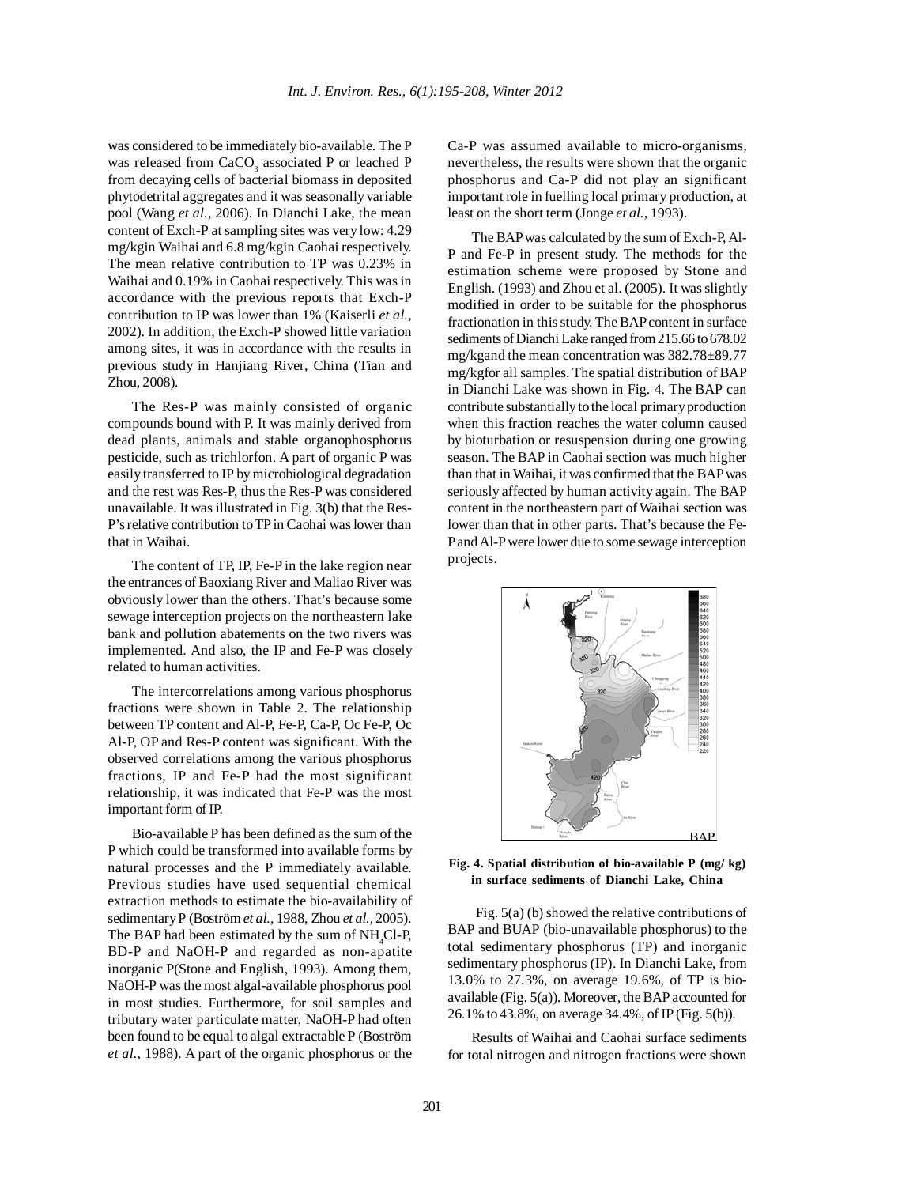was considered to be immediately bio-available. The P was released from  $CaCO<sub>3</sub>$  associated P or leached P from decaying cells of bacterial biomass in deposited phytodetrital aggregates and it was seasonally variable pool (Wang *et al.,* 2006). In Dianchi Lake, the mean content of Exch-P at sampling sites was very low: 4.29 mg/kgin Waihai and 6.8 mg/kgin Caohai respectively. The mean relative contribution to TP was 0.23% in Waihai and 0.19% in Caohai respectively. This was in accordance with the previous reports that Exch-P contribution to IP was lower than 1% (Kaiserli *et al.,* 2002). In addition, the Exch-P showed little variation among sites, it was in accordance with the results in previous study in Hanjiang River, China (Tian and Zhou, 2008).

The Res-P was mainly consisted of organic compounds bound with P. It was mainly derived from dead plants, animals and stable organophosphorus pesticide, such as trichlorfon. A part of organic P was easily transferred to IP by microbiological degradation and the rest was Res-P, thus the Res-P was considered unavailable. It was illustrated in Fig. 3(b) that the Res-P's relative contribution to TP in Caohai was lower than that in Waihai.

The content of TP, IP, Fe-P in the lake region near the entrances of Baoxiang River and Maliao River was obviously lower than the others. That's because some sewage interception projects on the northeastern lake bank and pollution abatements on the two rivers was implemented. And also, the IP and Fe-P was closely related to human activities.

The intercorrelations among various phosphorus fractions were shown in Table 2. The relationship between TP content and Al-P, Fe-P, Ca-P, Oc Fe-P, Oc Al-P, OP and Res-P content was significant. With the observed correlations among the various phosphorus fractions, IP and Fe-P had the most significant relationship, it was indicated that Fe-P was the most important form of IP.

Bio-available P has been defined as the sum of the P which could be transformed into available forms by natural processes and the P immediately available. Previous studies have used sequential chemical extraction methods to estimate the bio-availability of sedimentary P (Boström *et al.,* 1988, Zhou *et al.,* 2005). The BAP had been estimated by the sum of  $NH<sub>4</sub>Cl-P$ , BD-P and NaOH-P and regarded as non-apatite inorganic P(Stone and English, 1993). Among them, NaOH-P was the most algal-available phosphorus pool in most studies. Furthermore, for soil samples and tributary water particulate matter, NaOH-P had often been found to be equal to algal extractable P (Boström *et al.,* 1988). A part of the organic phosphorus or the

Ca-P was assumed available to micro-organisms, nevertheless, the results were shown that the organic phosphorus and Ca-P did not play an significant important role in fuelling local primary production, at least on the short term (Jonge *et al.,* 1993).

The BAP was calculated by the sum of Exch-P, Al-P and Fe-P in present study. The methods for the estimation scheme were proposed by Stone and English. (1993) and Zhou et al. (2005). It was slightly modified in order to be suitable for the phosphorus fractionation in this study. The BAP content in surface sediments of Dianchi Lake ranged from 215.66 to 678.02 mg/kgand the mean concentration was 382.78±89.77 mg/kgfor all samples. The spatial distribution of BAP in Dianchi Lake was shown in Fig. 4. The BAP can contribute substantially to the local primary production when this fraction reaches the water column caused by bioturbation or resuspension during one growing season. The BAP in Caohai section was much higher than that in Waihai, it was confirmed that the BAP was seriously affected by human activity again. The BAP content in the northeastern part of Waihai section was lower than that in other parts. That's because the Fe-P and Al-P were lower due to some sewage interception projects.



**Fig. 4. Spatial distribution of bio-available P (mg/ kg) in surface sediments of Dianchi Lake, China**

Fig. 5(a) (b) showed the relative contributions of BAP and BUAP (bio-unavailable phosphorus) to the total sedimentary phosphorus (TP) and inorganic sedimentary phosphorus (IP). In Dianchi Lake, from 13.0% to 27.3%, on average 19.6%, of TP is bioavailable (Fig. 5(a)). Moreover, the BAP accounted for 26.1% to 43.8%, on average 34.4%, of IP (Fig. 5(b)).

Results of Waihai and Caohai surface sediments for total nitrogen and nitrogen fractions were shown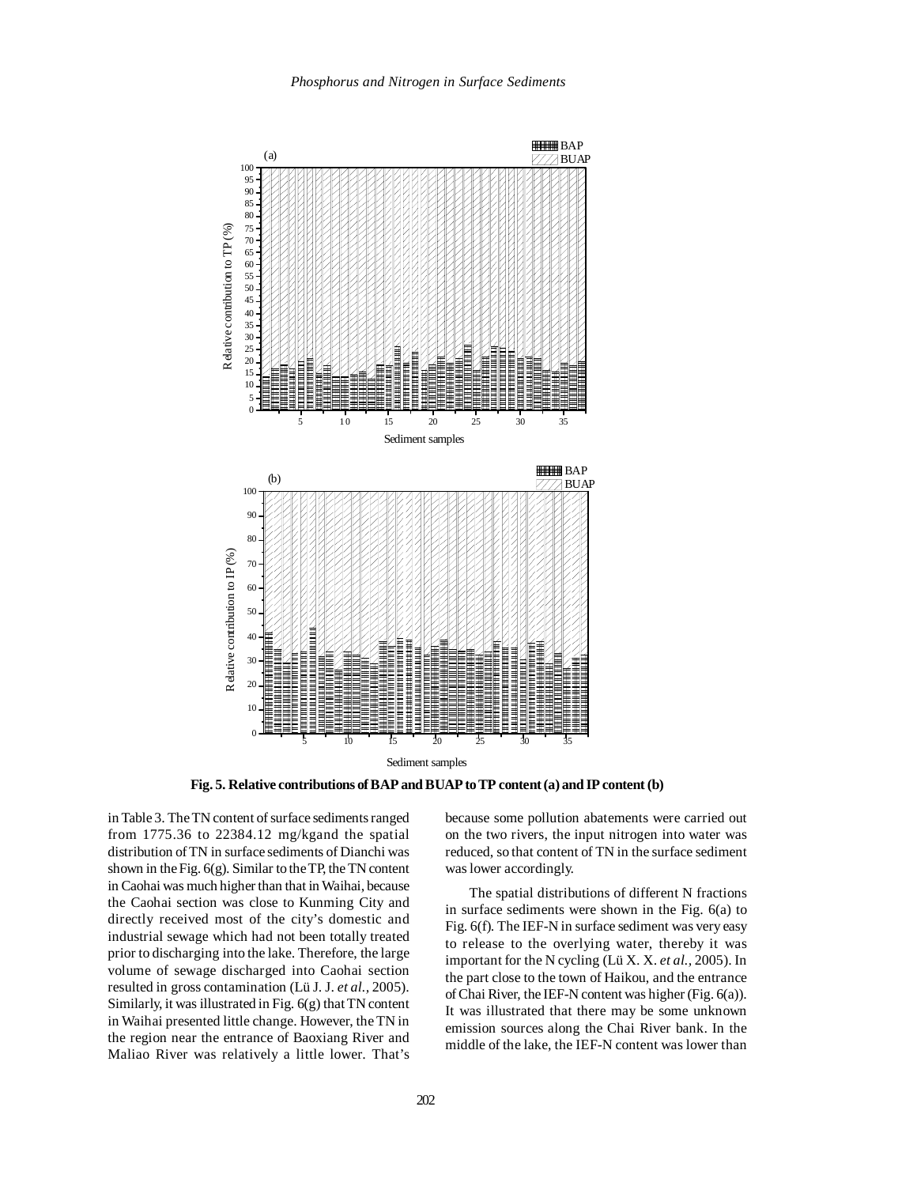

**Fig. 5. Relative contributions of BAP and BUAP to TP content (a) and IP content (b)**

in Table 3. The TN content of surface sediments ranged from 1775.36 to 22384.12 mg/kgand the spatial distribution of TN in surface sediments of Dianchi was shown in the Fig.  $6(g)$ . Similar to the TP, the TN content in Caohai was much higher than that in Waihai, because the Caohai section was close to Kunming City and directly received most of the city's domestic and industrial sewage which had not been totally treated prior to discharging into the lake. Therefore, the large volume of sewage discharged into Caohai section resulted in gross contamination (Lü J. J. *et al.,* 2005). Similarly, it was illustrated in Fig. 6(g) that TN content in Waihai presented little change. However, the TN in the region near the entrance of Baoxiang River and Maliao River was relatively a little lower. That's

because some pollution abatements were carried out on the two rivers, the input nitrogen into water was reduced, so that content of TN in the surface sediment was lower accordingly.

The spatial distributions of different N fractions in surface sediments were shown in the Fig. 6(a) to Fig. 6(f). The IEF-N in surface sediment was very easy to release to the overlying water, thereby it was important for the N cycling (Lü X. X. *et al.,* 2005). In the part close to the town of Haikou, and the entrance of Chai River, the IEF-N content was higher (Fig. 6(a)). It was illustrated that there may be some unknown emission sources along the Chai River bank. In the middle of the lake, the IEF-N content was lower than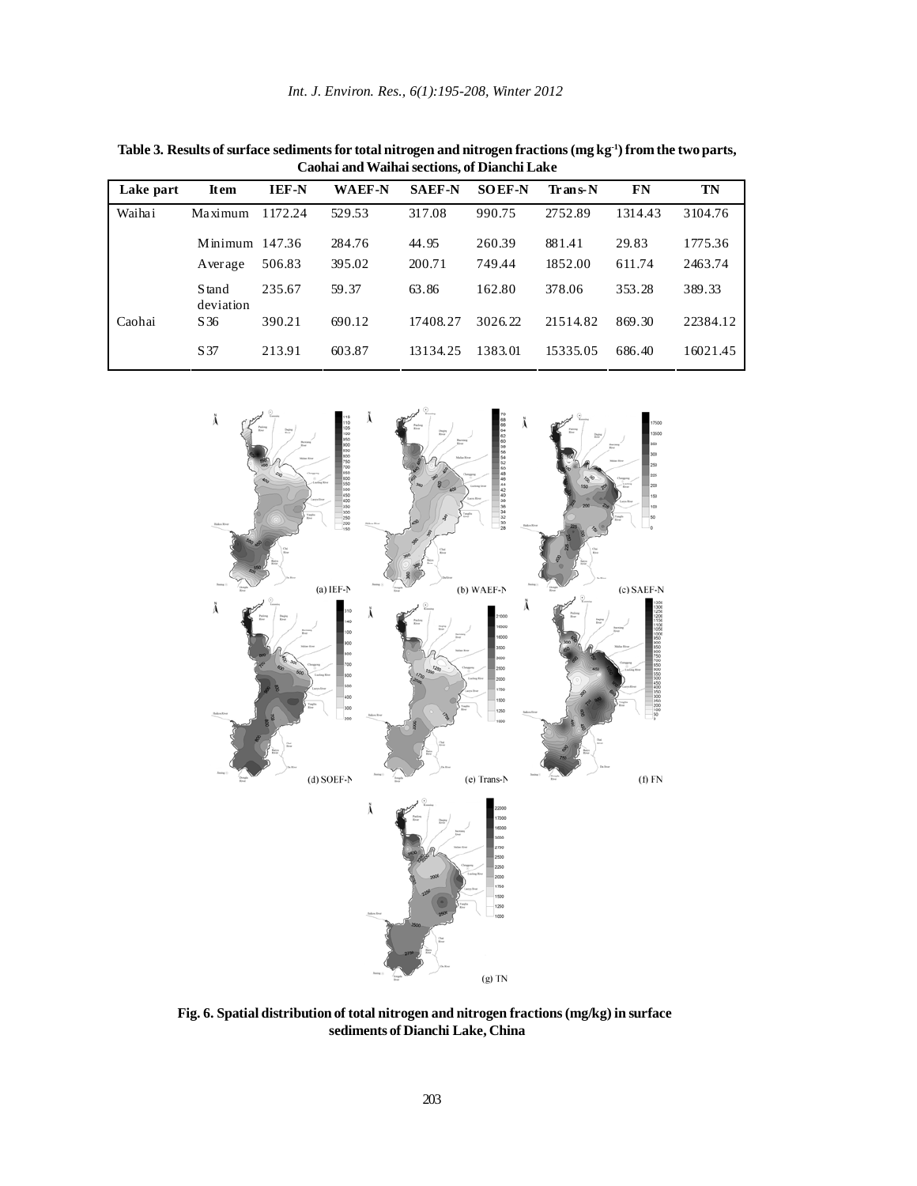| Table 3. Results of surface sediments for total nitrogen and nitrogen fractions $(mgkg^{-1})$ from the two parts, |
|-------------------------------------------------------------------------------------------------------------------|
| Caohai and Waihai sections, of Dianchi Lake                                                                       |

| Lake part | <b>Item</b>                    | <b>IEF-N</b> | <b>WAEF-N</b> | <b>SAEF-N</b> | <b>SOEF-N</b> | Trans-N  | FN      | TN       |
|-----------|--------------------------------|--------------|---------------|---------------|---------------|----------|---------|----------|
| Waihai    | Maximum                        | 1172.24      | 529.53        | 317.08        | 990.75        | 2752.89  | 1314.43 | 3104.76  |
|           | Minimum $147.36$               |              | 284.76        | 44.95         | 260.39        | 881.41   | 29.83   | 1775.36  |
|           | Average                        | 506.83       | 395.02        | 200.71        | 749.44        | 1852.00  | 611.74  | 2463.74  |
|           | S <sub>tand</sub><br>deviation | 235.67       | 59.37         | 63.86         | 162.80        | 378.06   | 353.28  | 389.33   |
| Caohai    | S 36                           | 390.21       | 690.12        | 17408.27      | 3026.22       | 21514.82 | 869.30  | 22384.12 |
|           | S 37                           | 213.91       | 603.87        | 13134.25      | 1383.01       | 15335.05 | 686.40  | 16021.45 |



**Fig. 6. Spatial distribution of total nitrogen and nitrogen fractions (mg/kg) in surface sediments of Dianchi Lake, China**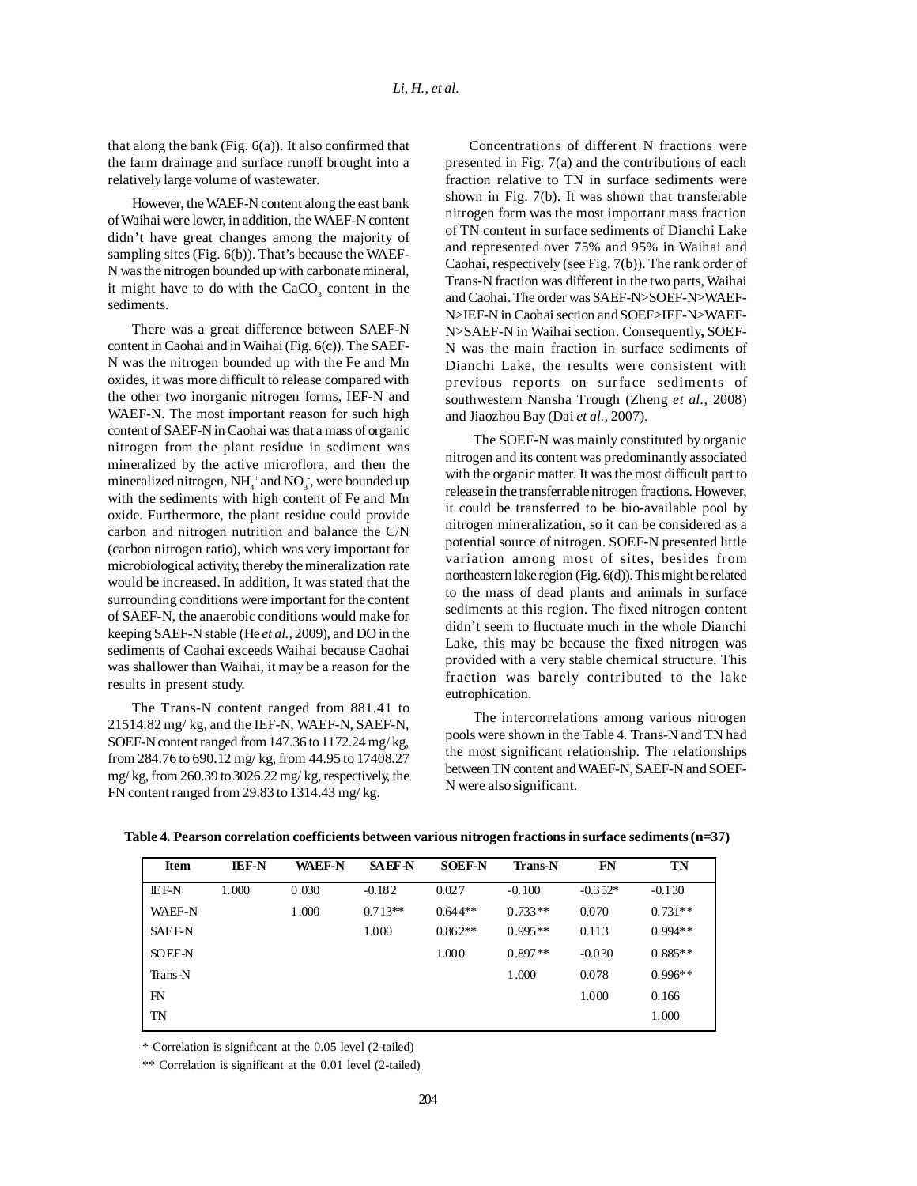that along the bank (Fig. 6(a)). It also confirmed that the farm drainage and surface runoff brought into a relatively large volume of wastewater.

However, the WAEF-N content along the east bank of Waihai were lower, in addition, the WAEF-N content didn't have great changes among the majority of sampling sites (Fig. 6(b)). That's because the WAEF-N was the nitrogen bounded up with carbonate mineral, it might have to do with the  $CaCO<sub>3</sub>$  content in the sediments.

There was a great difference between SAEF-N content in Caohai and in Waihai (Fig. 6(c)). The SAEF-N was the nitrogen bounded up with the Fe and Mn oxides, it was more difficult to release compared with the other two inorganic nitrogen forms, IEF-N and WAEF-N. The most important reason for such high content of SAEF-N in Caohai was that a mass of organic nitrogen from the plant residue in sediment was mineralized by the active microflora, and then the mineralized nitrogen,  $NH_4^+$  and  $NO_3^-$ , were bounded up with the sediments with high content of Fe and Mn oxide. Furthermore, the plant residue could provide carbon and nitrogen nutrition and balance the C/N (carbon nitrogen ratio), which was very important for microbiological activity, thereby the mineralization rate would be increased. In addition, It was stated that the surrounding conditions were important for the content of SAEF-N, the anaerobic conditions would make for keeping SAEF-N stable (He *et al.,* 2009), and DO in the sediments of Caohai exceeds Waihai because Caohai was shallower than Waihai, it may be a reason for the results in present study.

The Trans-N content ranged from 881.41 to 21514.82 mg/ kg, and the IEF-N, WAEF-N, SAEF-N, SOEF-N content ranged from 147.36 to 1172.24 mg/ kg, from 284.76 to 690.12 mg/ kg, from 44.95 to 17408.27 mg/ kg, from 260.39 to 3026.22 mg/ kg, respectively, the FN content ranged from 29.83 to 1314.43 mg/ kg.

Concentrations of different N fractions were presented in Fig. 7(a) and the contributions of each fraction relative to TN in surface sediments were shown in Fig. 7(b). It was shown that transferable nitrogen form was the most important mass fraction of TN content in surface sediments of Dianchi Lake and represented over 75% and 95% in Waihai and Caohai, respectively (see Fig. 7(b)). The rank order of Trans-N fraction was different in the two parts, Waihai and Caohai. The order was SAEF-N>SOEF-N>WAEF-N>IEF-N in Caohai section and SOEF>IEF-N>WAEF-N>SAEF-N in Waihai section. Consequently**,** SOEF-N was the main fraction in surface sediments of Dianchi Lake, the results were consistent with previous reports on surface sediments of southwestern Nansha Trough (Zheng *et al.,* 2008) and Jiaozhou Bay (Dai *et al.,* 2007).

The SOEF-N was mainly constituted by organic nitrogen and its content was predominantly associated with the organic matter. It was the most difficult part to release in the transferrable nitrogen fractions. However, it could be transferred to be bio-available pool by nitrogen mineralization, so it can be considered as a potential source of nitrogen. SOEF-N presented little variation among most of sites, besides from northeastern lake region (Fig. 6(d)). This might be related to the mass of dead plants and animals in surface sediments at this region. The fixed nitrogen content didn't seem to fluctuate much in the whole Dianchi Lake, this may be because the fixed nitrogen was provided with a very stable chemical structure. This fraction was barely contributed to the lake eutrophication.

The intercorrelations among various nitrogen pools were shown in the Table 4. Trans-N and TN had the most significant relationship. The relationships between TN content and WAEF-N, SAEF-N and SOEF-N were also significant.

| Item          | <b>IEF-N</b> | <b>WAEF-N</b> | <b>SAEF N</b> | <b>SOEF-N</b> | <b>Trans-N</b> | FN        | TN        |
|---------------|--------------|---------------|---------------|---------------|----------------|-----------|-----------|
| <b>IEF-N</b>  | 1.000        | 0.030         | $-0.182$      | 0.027         | $-0.100$       | $-0.352*$ | $-0.130$  |
| <b>WAEF-N</b> |              | 1.000         | $0.713**$     | $0.644**$     | $0.733**$      | 0.070     | $0.731**$ |
| <b>SAEF-N</b> |              |               | 1.000         | $0.862**$     | $0.995**$      | 0.113     | $0.994**$ |
| <b>SOEF-N</b> |              |               |               | 1.000         | $0.897**$      | $-0.030$  | $0.885**$ |
| Trans-N       |              |               |               |               | 1.000          | 0.078     | $0.996**$ |
| FN            |              |               |               |               |                | 1.000     | 0.166     |
| TN            |              |               |               |               |                |           | 1.000     |

**Table 4. Pearson correlation coefficients between various nitrogen fractions in surface sediments (n=37)**

\* Correlation is significant at the 0.05 level (2-tailed)

\*\* Correlation is significant at the 0.01 level (2-tailed)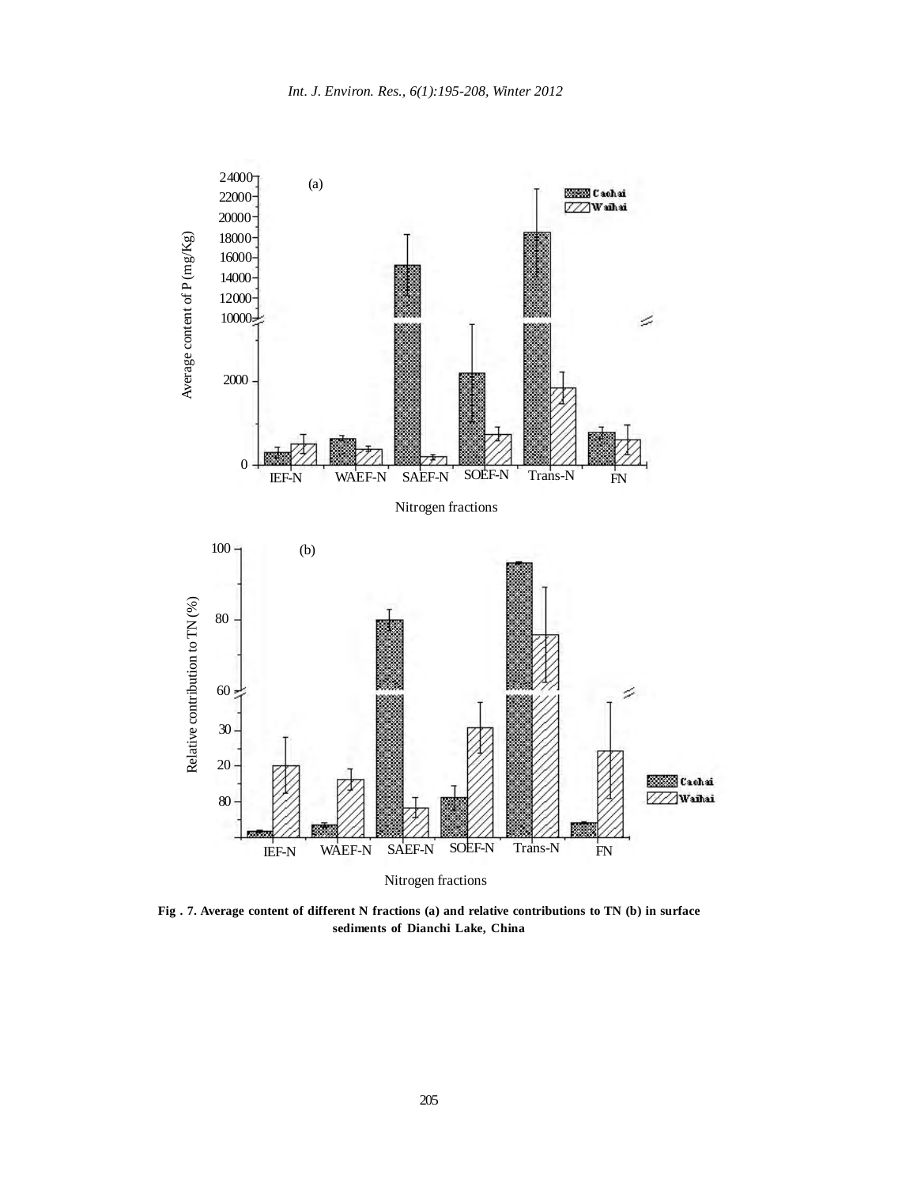

**Fig . 7. Average content of different N fractions (a) and relative contributions to TN (b) in surface sediments of Dianchi Lake, China**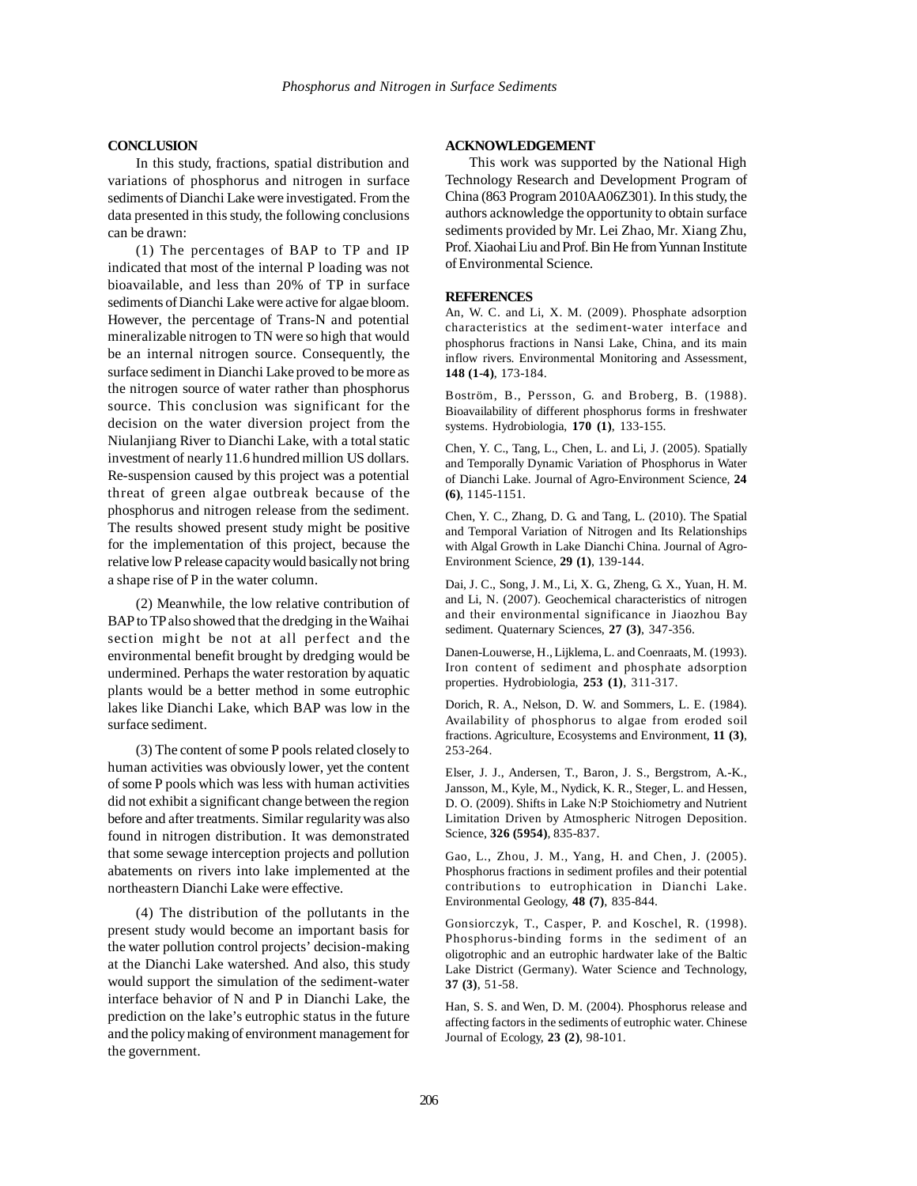# **CONCLUSION**

In this study, fractions, spatial distribution and variations of phosphorus and nitrogen in surface sediments of Dianchi Lake were investigated. From the data presented in this study, the following conclusions can be drawn:

(1) The percentages of BAP to TP and IP indicated that most of the internal P loading was not bioavailable, and less than 20% of TP in surface sediments of Dianchi Lake were active for algae bloom. However, the percentage of Trans-N and potential mineralizable nitrogen to TN were so high that would be an internal nitrogen source. Consequently, the surface sediment in Dianchi Lake proved to be more as the nitrogen source of water rather than phosphorus source. This conclusion was significant for the decision on the water diversion project from the Niulanjiang River to Dianchi Lake, with a total static investment of nearly 11.6 hundred million US dollars. Re-suspension caused by this project was a potential threat of green algae outbreak because of the phosphorus and nitrogen release from the sediment. The results showed present study might be positive for the implementation of this project, because the relative low P release capacity would basically not bring a shape rise of P in the water column.

(2) Meanwhile, the low relative contribution of BAP to TP also showed that the dredging in the Waihai section might be not at all perfect and the environmental benefit brought by dredging would be undermined. Perhaps the water restoration by aquatic plants would be a better method in some eutrophic lakes like Dianchi Lake, which BAP was low in the surface sediment.

(3) The content of some P pools related closely to human activities was obviously lower, yet the content of some P pools which was less with human activities did not exhibit a significant change between the region before and after treatments. Similar regularity was also found in nitrogen distribution. It was demonstrated that some sewage interception projects and pollution abatements on rivers into lake implemented at the northeastern Dianchi Lake were effective.

(4) The distribution of the pollutants in the present study would become an important basis for the water pollution control projects' decision-making at the Dianchi Lake watershed. And also, this study would support the simulation of the sediment-water interface behavior of N and P in Dianchi Lake, the prediction on the lake's eutrophic status in the future and the policy making of environment management for the government.

## **ACKNOWLEDGEMENT**

This work was supported by the National High Technology Research and Development Program of China (863 Program 2010AA06Z301). In this study, the authors acknowledge the opportunity to obtain surface sediments provided by Mr. Lei Zhao, Mr. Xiang Zhu, Prof. Xiaohai Liu and Prof. Bin He from Yunnan Institute of Environmental Science.

#### **REFERENCES**

An, W. C. and Li, X. M. (2009). Phosphate adsorption characteristics at the sediment-water interface and phosphorus fractions in Nansi Lake, China, and its main inflow rivers. Environmental Monitoring and Assessment, **148 (1-4)**, 173-184.

Boström, B., Persson, G. and Broberg, B. (1988). Bioavailability of different phosphorus forms in freshwater systems. Hydrobiologia, **170 (1)**, 133-155.

Chen, Y. C., Tang, L., Chen, L. and Li, J. (2005). Spatially and Temporally Dynamic Variation of Phosphorus in Water of Dianchi Lake. Journal of Agro-Environment Science, **24 (6)**, 1145-1151.

Chen, Y. C., Zhang, D. G. and Tang, L. (2010). The Spatial and Temporal Variation of Nitrogen and Its Relationships with Algal Growth in Lake Dianchi China. Journal of Agro-Environment Science, **29 (1)**, 139-144.

Dai, J. C., Song, J. M., Li, X. G., Zheng, G. X., Yuan, H. M. and Li, N. (2007). Geochemical characteristics of nitrogen and their environmental significance in Jiaozhou Bay sediment. Quaternary Sciences, **27 (3)**, 347-356.

Danen-Louwerse, H., Lijklema, L. and Coenraats, M. (1993). Iron content of sediment and phosphate adsorption properties. Hydrobiologia, **253 (1)**, 311-317.

Dorich, R. A., Nelson, D. W. and Sommers, L. E. (1984). Availability of phosphorus to algae from eroded soil fractions. Agriculture, Ecosystems and Environment, **11 (3)**, 253-264.

Elser, J. J., Andersen, T., Baron, J. S., Bergstrom, A.-K., Jansson, M., Kyle, M., Nydick, K. R., Steger, L. and Hessen, D. O. (2009). Shifts in Lake N:P Stoichiometry and Nutrient Limitation Driven by Atmospheric Nitrogen Deposition. Science, **326 (5954)**, 835-837.

Gao, L., Zhou, J. M., Yang, H. and Chen, J. (2005). Phosphorus fractions in sediment profiles and their potential contributions to eutrophication in Dianchi Lake. Environmental Geology, **48 (7)**, 835-844.

Gonsiorczyk, T., Casper, P. and Koschel, R. (1998). Phosphorus-binding forms in the sediment of an oligotrophic and an eutrophic hardwater lake of the Baltic Lake District (Germany). Water Science and Technology, **37 (3)**, 51-58.

Han, S. S. and Wen, D. M. (2004). Phosphorus release and affecting factors in the sediments of eutrophic water. Chinese Journal of Ecology, **23 (2)**, 98-101.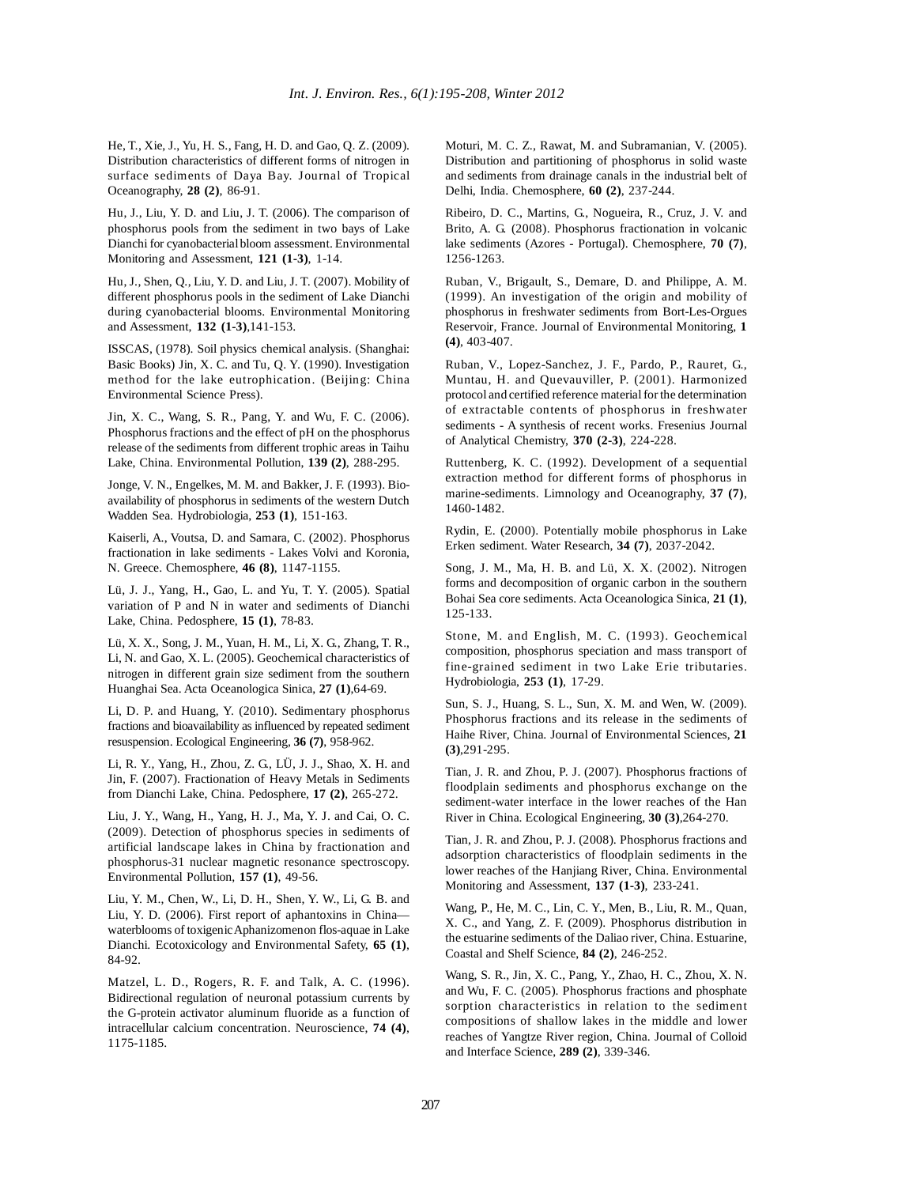He, T., Xie, J., Yu, H. S., Fang, H. D. and Gao, Q. Z. (2009). Distribution characteristics of different forms of nitrogen in surface sediments of Daya Bay. Journal of Tropical Oceanography, **28 (2)**, 86-91.

Hu, J., Liu, Y. D. and Liu, J. T. (2006). The comparison of phosphorus pools from the sediment in two bays of Lake Dianchi for cyanobacterial bloom assessment. Environmental Monitoring and Assessment, **121 (1-3)**, 1-14.

Hu, J., Shen, Q., Liu, Y. D. and Liu, J. T. (2007). Mobility of different phosphorus pools in the sediment of Lake Dianchi during cyanobacterial blooms. Environmental Monitoring and Assessment, **132 (1-3)**,141-153.

ISSCAS, (1978). Soil physics chemical analysis. (Shanghai: Basic Books) Jin, X. C. and Tu, Q. Y. (1990). Investigation method for the lake eutrophication. (Beijing: China Environmental Science Press).

Jin, X. C., Wang, S. R., Pang, Y. and Wu, F. C. (2006). Phosphorus fractions and the effect of pH on the phosphorus release of the sediments from different trophic areas in Taihu Lake, China. Environmental Pollution, **139 (2)**, 288-295.

Jonge, V. N., Engelkes, M. M. and Bakker, J. F. (1993). Bioavailability of phosphorus in sediments of the western Dutch Wadden Sea. Hydrobiologia, **253 (1)**, 151-163.

Kaiserli, A., Voutsa, D. and Samara, C. (2002). Phosphorus fractionation in lake sediments - Lakes Volvi and Koronia, N. Greece. Chemosphere, **46 (8)**, 1147-1155.

Lü, J. J., Yang, H., Gao, L. and Yu, T. Y. (2005). Spatial variation of P and N in water and sediments of Dianchi Lake, China. Pedosphere, **15 (1)**, 78-83.

Lü, X. X., Song, J. M., Yuan, H. M., Li, X. G., Zhang, T. R., Li, N. and Gao, X. L. (2005). Geochemical characteristics of nitrogen in different grain size sediment from the southern Huanghai Sea. Acta Oceanologica Sinica, **27 (1)**,64-69.

Li, D. P. and Huang, Y. (2010). Sedimentary phosphorus fractions and bioavailability as influenced by repeated sediment resuspension. Ecological Engineering, **36 (7)**, 958-962.

Li, R. Y., Yang, H., Zhou, Z. G., LÜ, J. J., Shao, X. H. and Jin, F. (2007). Fractionation of Heavy Metals in Sediments from Dianchi Lake, China. Pedosphere, **17 (2)**, 265-272.

Liu, J. Y., Wang, H., Yang, H. J., Ma, Y. J. and Cai, O. C. (2009). Detection of phosphorus species in sediments of artificial landscape lakes in China by fractionation and phosphorus-31 nuclear magnetic resonance spectroscopy. Environmental Pollution, **157 (1)**, 49-56.

Liu, Y. M., Chen, W., Li, D. H., Shen, Y. W., Li, G. B. and Liu, Y. D. (2006). First report of aphantoxins in China waterblooms of toxigenic Aphanizomenon flos-aquae in Lake Dianchi. Ecotoxicology and Environmental Safety, **65 (1)**, 84-92.

Matzel, L. D., Rogers, R. F. and Talk, A. C. (1996). Bidirectional regulation of neuronal potassium currents by the G-protein activator aluminum fluoride as a function of intracellular calcium concentration. Neuroscience, **74 (4)**, 1175-1185.

Moturi, M. C. Z., Rawat, M. and Subramanian, V. (2005). Distribution and partitioning of phosphorus in solid waste and sediments from drainage canals in the industrial belt of Delhi, India. Chemosphere, **60 (2)**, 237-244.

Ribeiro, D. C., Martins, G., Nogueira, R., Cruz, J. V. and Brito, A. G. (2008). Phosphorus fractionation in volcanic lake sediments (Azores - Portugal). Chemosphere, **70 (7)**, 1256-1263.

Ruban, V., Brigault, S., Demare, D. and Philippe, A. M. (1999). An investigation of the origin and mobility of phosphorus in freshwater sediments from Bort-Les-Orgues Reservoir, France. Journal of Environmental Monitoring, **1 (4)**, 403-407.

Ruban, V., Lopez-Sanchez, J. F., Pardo, P., Rauret, G., Muntau, H. and Quevauviller, P. (2001). Harmonized protocol and certified reference material for the determination of extractable contents of phosphorus in freshwater sediments - A synthesis of recent works. Fresenius Journal of Analytical Chemistry, **370 (2-3)**, 224-228.

Ruttenberg, K. C. (1992). Development of a sequential extraction method for different forms of phosphorus in marine-sediments. Limnology and Oceanography, **37 (7)**, 1460-1482.

Rydin, E. (2000). Potentially mobile phosphorus in Lake Erken sediment. Water Research, **34 (7)**, 2037-2042.

Song, J. M., Ma, H. B. and Lü, X. X. (2002). Nitrogen forms and decomposition of organic carbon in the southern Bohai Sea core sediments. Acta Oceanologica Sinica, **21 (1)**, 125-133.

Stone, M. and English, M. C. (1993). Geochemical composition, phosphorus speciation and mass transport of fine-grained sediment in two Lake Erie tributaries. Hydrobiologia, **253 (1)**, 17-29.

Sun, S. J., Huang, S. L., Sun, X. M. and Wen, W. (2009). Phosphorus fractions and its release in the sediments of Haihe River, China. Journal of Environmental Sciences, **21 (3)**,291-295.

Tian, J. R. and Zhou, P. J. (2007). Phosphorus fractions of floodplain sediments and phosphorus exchange on the sediment-water interface in the lower reaches of the Han River in China. Ecological Engineering, **30 (3)**,264-270.

Tian, J. R. and Zhou, P. J. (2008). Phosphorus fractions and adsorption characteristics of floodplain sediments in the lower reaches of the Hanjiang River, China. Environmental Monitoring and Assessment, **137 (1-3)**, 233-241.

Wang, P., He, M. C., Lin, C. Y., Men, B., Liu, R. M., Quan, X. C., and Yang, Z. F. (2009). Phosphorus distribution in the estuarine sediments of the Daliao river, China. Estuarine, Coastal and Shelf Science, **84 (2)**, 246-252.

Wang, S. R., Jin, X. C., Pang, Y., Zhao, H. C., Zhou, X. N. and Wu, F. C. (2005). Phosphorus fractions and phosphate sorption characteristics in relation to the sediment compositions of shallow lakes in the middle and lower reaches of Yangtze River region, China. Journal of Colloid and Interface Science, **289 (2)**, 339-346.